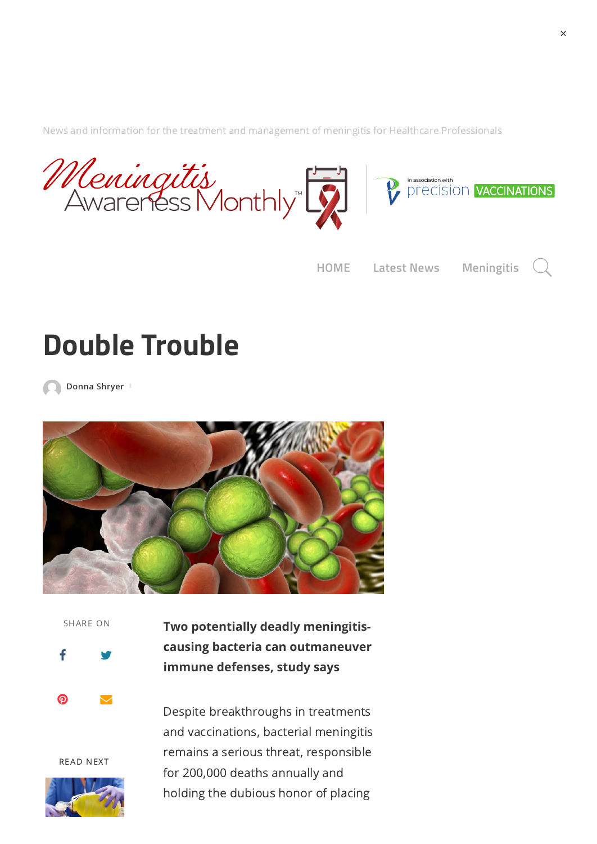[News and information for the treatment and management of meningitis for Healthcare Professionals](https://meningitis.awarenessmonthly.com/)

Meningitis<br>Awareness Monthly 

**[HOME](https://meningitis.awarenessmonthly.com/) [Latest](https://meningitis.awarenessmonthly.com/category/latest-news/) News [Meningitis](https://meningitis.awarenessmonthly.com/category/meningitis/)**

## **Double Trouble**

**[Donna](https://meningitis.awarenessmonthly.com/author/donna_ehs/) Shryer**



SHARE ON

 $\mathbf f$  $\mathbf f$  $\mathbf f$ 

 $\boldsymbol{\Omega}$ 

**Two potentially deadly meningitiscausing bacteria can outmaneuver immune defenses, study says**

READ NEXT

Despite breakthroughs in treatments and vaccinations, bacterial meningitis remains a serious threat, responsible for 200,000 deaths annually and holding the dubious honor of placing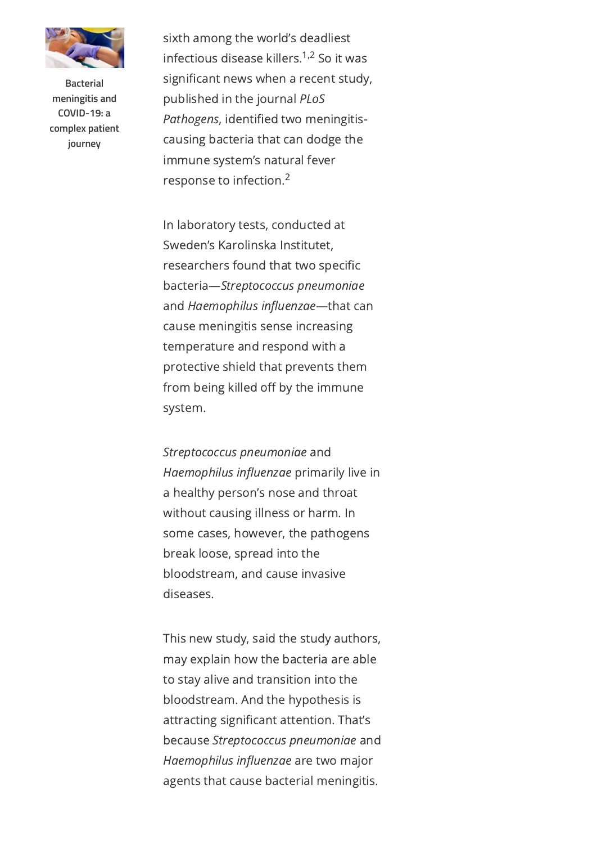

**Bacterial meningitis and COVID-19: a [complex patient](https://meningitis.awarenessmonthly.com/bacterial-meningitis-and-covid-19-a-complex-patient-journey/) journey**

sixth among the world's deadliest infectious disease killers.<sup>1,2</sup> So it was significant news when a recent study, published in the journal PLoS Pathogens, identified two meningitiscausing bacteria that can dodge the immune system's natural fever response to infection. 2

In laboratory tests, conducted at Sweden's Karolinska Institutet, researchers found that two specific bacteria—Streptococcus pneumoniae and Haemophilus influenzae—that can cause meningitis sense increasing temperature and respond with a protective shield that prevents them from being killed off by the immune system.

Streptococcus pneumoniae and Haemophilus influenzae primarily live in a healthy person's nose and throat without causing illness or harm. In some cases, however, the pathogens break loose, spread into the bloodstream, and cause invasive diseases.

This new study, said the study authors, may explain how the bacteria are able to stay alive and transition into the bloodstream. And the hypothesis is attracting significant attention. That's because Streptococcus pneumoniae and Haemophilus influenzae are two major agents that cause bacterial meningitis.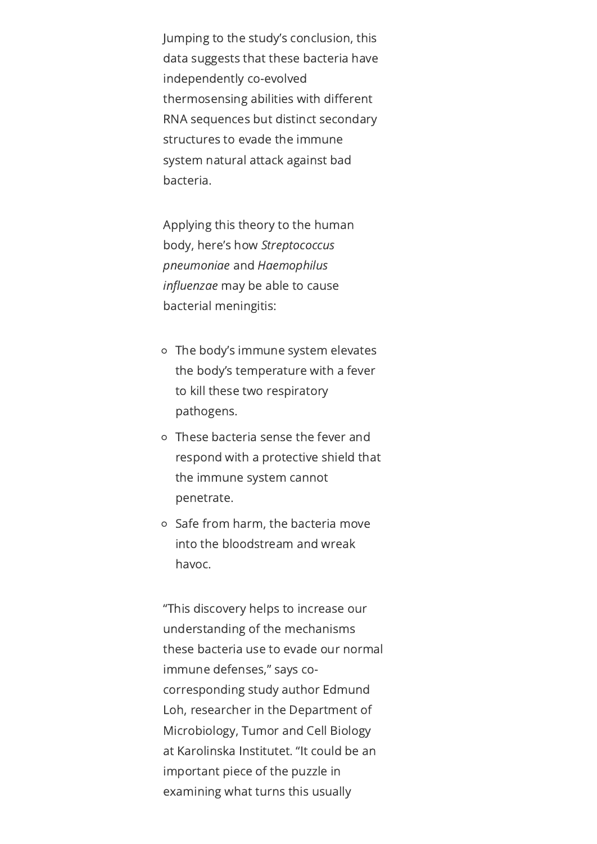Jumping to the study's conclusion, this data suggests that these bacteria have independently co-evolved thermosensing abilities with different RNA sequences but distinct secondary structures to evade the immune system natural attack against bad bacteria.

Applying this theory to the human body, here's how Streptococcus pneumoniae and Haemophilus influenzae may be able to cause bacterial meningitis:

- The body's immune system elevates the body's temperature with a fever to kill these two respiratory pathogens.
- These bacteria sense the fever and respond with a protective shield that the immune system cannot penetrate.
- Safe from harm, the bacteria move into the bloodstream and wreak havoc.

"This discovery helps to increase our understanding of the mechanisms these bacteria use to evade our normal immune defenses," says cocorresponding study author Edmund Loh, researcher in the Department of Microbiology, Tumor and Cell Biology at Karolinska Institutet. "It could be an important piece of the puzzle in examining what turns this usually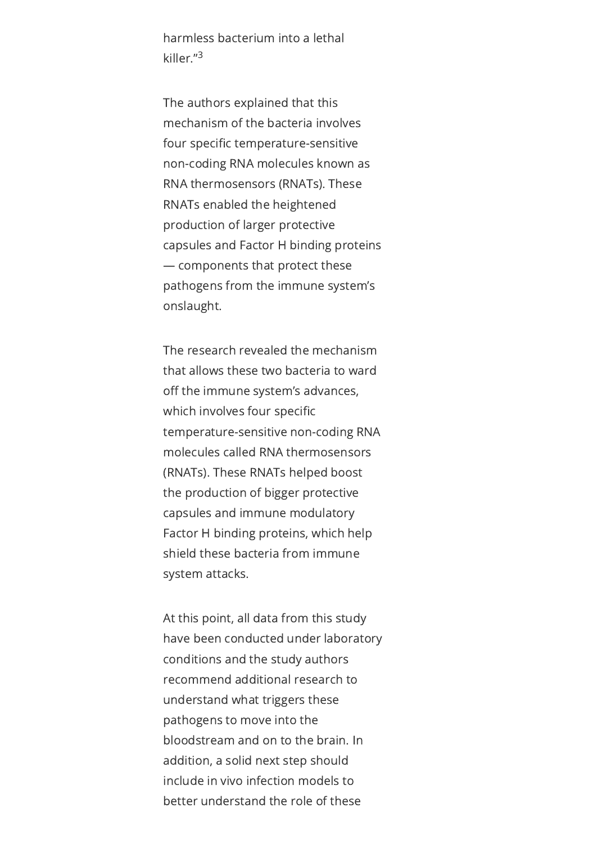harmless bacterium into a lethal killer." 3

The authors explained that this mechanism of the bacteria involves four specific temperature-sensitive non-coding RNA molecules known as RNA thermosensors (RNATs). These RNATs enabled the heightened production of larger protective capsules and Factor H binding proteins — components that protect these pathogens from the immune system's onslaught.

The research revealed the mechanism that allows these two bacteria to ward off the immune system's advances, which involves four specific temperature-sensitive non-coding RNA molecules called RNA thermosensors (RNATs). These RNATs helped boost the production of bigger protective capsules and immune modulatory Factor H binding proteins, which help shield these bacteria from immune system attacks.

At this point, all data from this study have been conducted under laboratory conditions and the study authors recommend additional research to understand what triggers these pathogens to move into the bloodstream and on to the brain. In addition, a solid next step should include in vivo infection models to better understand the role of these